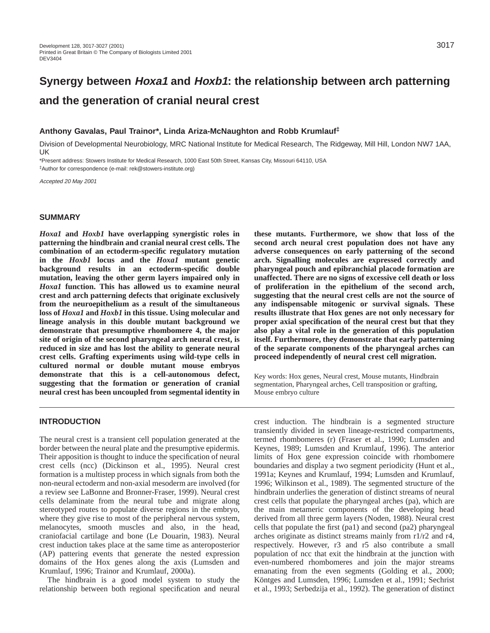# **Synergy between Hoxa1 and Hoxb1: the relationship between arch patterning and the generation of cranial neural crest**

#### **Anthony Gavalas, Paul Trainor\*, Linda Ariza-McNaughton and Robb Krumlauf‡**

Division of Developmental Neurobiology, MRC National Institute for Medical Research, The Ridgeway, Mill Hill, London NW7 1AA, UK

\*Present address: Stowers Institute for Medical Research, 1000 East 50th Street, Kansas City, Missouri 64110, USA ‡Author for correspondence (e-mail: rek@stowers-institute.org)

Accepted 20 May 2001

#### **SUMMARY**

*Hoxa1* **and** *Hoxb1* **have overlapping synergistic roles in patterning the hindbrain and cranial neural crest cells. The combination of an ectoderm-specific regulatory mutation in the** *Hoxb1* **locus and the** *Hoxa1* **mutant genetic background results in an ectoderm-specific double mutation, leaving the other germ layers impaired only in** *Hoxa1* **function. This has allowed us to examine neural crest and arch patterning defects that originate exclusively from the neuroepithelium as a result of the simultaneous loss of** *Hoxa1* **and** *Hoxb1* **in this tissue. Using molecular and lineage analysis in this double mutant background we demonstrate that presumptive rhombomere 4, the major site of origin of the second pharyngeal arch neural crest, is reduced in size and has lost the ability to generate neural crest cells. Grafting experiments using wild-type cells in cultured normal or double mutant mouse embryos demonstrate that this is a cell-autonomous defect, suggesting that the formation or generation of cranial neural crest has been uncoupled from segmental identity in**

### **these mutants. Furthermore, we show that loss of the second arch neural crest population does not have any adverse consequences on early patterning of the second arch. Signalling molecules are expressed correctly and pharyngeal pouch and epibranchial placode formation are unaffected. There are no signs of excessive cell death or loss of proliferation in the epithelium of the second arch, suggesting that the neural crest cells are not the source of any indispensable mitogenic or survival signals. These results illustrate that Hox genes are not only necessary for proper axial specification of the neural crest but that they also play a vital role in the generation of this population itself. Furthermore, they demonstrate that early patterning of the separate components of the pharyngeal arches can proceed independently of neural crest cell migration.**

Key words: Hox genes, Neural crest, Mouse mutants, Hindbrain segmentation, Pharyngeal arches, Cell transposition or grafting, Mouse embryo culture

#### **INTRODUCTION**

The neural crest is a transient cell population generated at the border between the neural plate and the presumptive epidermis. Their apposition is thought to induce the specification of neural crest cells (ncc) (Dickinson et al., 1995). Neural crest formation is a multistep process in which signals from both the non-neural ectoderm and non-axial mesoderm are involved (for a review see LaBonne and Bronner-Fraser, 1999). Neural crest cells delaminate from the neural tube and migrate along stereotyped routes to populate diverse regions in the embryo, where they give rise to most of the peripheral nervous system, melanocytes, smooth muscles and also, in the head, craniofacial cartilage and bone (Le Douarin, 1983). Neural crest induction takes place at the same time as anteroposterior (AP) pattering events that generate the nested expression domains of the Hox genes along the axis (Lumsden and Krumlauf, 1996; Trainor and Krumlauf, 2000a).

The hindbrain is a good model system to study the relationship between both regional specification and neural

crest induction. The hindbrain is a segmented structure transiently divided in seven lineage-restricted compartments, termed rhombomeres (r) (Fraser et al., 1990; Lumsden and Keynes, 1989; Lumsden and Krumlauf, 1996). The anterior limits of Hox gene expression coincide with rhombomere boundaries and display a two segment periodicity (Hunt et al., 1991a; Keynes and Krumlauf, 1994; Lumsden and Krumlauf, 1996; Wilkinson et al., 1989). The segmented structure of the hindbrain underlies the generation of distinct streams of neural crest cells that populate the pharyngeal arches (pa), which are the main metameric components of the developing head derived from all three germ layers (Noden, 1988). Neural crest cells that populate the first (pa1) and second (pa2) pharyngeal arches originate as distinct streams mainly from r1/r2 and r4, respectively. However, r3 and r5 also contribute a small population of ncc that exit the hindbrain at the junction with even-numbered rhombomeres and join the major streams emanating from the even segments (Golding et al., 2000; Köntges and Lumsden, 1996; Lumsden et al., 1991; Sechrist et al., 1993; Serbedzija et al., 1992). The generation of distinct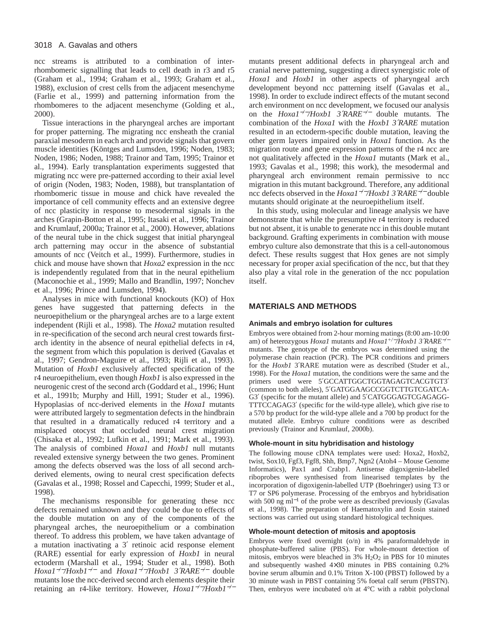ncc streams is attributed to a combination of interrhombomeric signalling that leads to cell death in r3 and r5 (Graham et al., 1994; Graham et al., 1993; Graham et al., 1988), exclusion of crest cells from the adjacent mesenchyme (Farlie et al., 1999) and patterning information from the rhombomeres to the adjacent mesenchyme (Golding et al., 2000).

Tissue interactions in the pharyngeal arches are important for proper patterning. The migrating ncc ensheath the cranial paraxial mesoderm in each arch and provide signals that govern muscle identities (Köntges and Lumsden, 1996; Noden, 1983; Noden, 1986; Noden, 1988; Trainor and Tam, 1995; Trainor et al., 1994). Early transplantation experiments suggested that migrating ncc were pre-patterned according to their axial level of origin (Noden, 1983; Noden, 1988), but transplantation of rhombomeric tissue in mouse and chick have revealed the importance of cell community effects and an extensive degree of ncc plasticity in response to mesodermal signals in the arches (Grapin-Botton et al., 1995; Itasaki et al., 1996; Trainor and Krumlauf, 2000a; Trainor et al., 2000). However, ablations of the neural tube in the chick suggest that initial pharyngeal arch patterning may occur in the absence of substantial amounts of ncc (Veitch et al., 1999). Furthermore, studies in chick and mouse have shown that *Hoxa2* expression in the ncc is independently regulated from that in the neural epithelium (Maconochie et al., 1999; Mallo and Brandlin, 1997; Nonchev et al., 1996; Prince and Lumsden, 1994).

Analyses in mice with functional knockouts (KO) of Hox genes have suggested that patterning defects in the neuroepithelium or the pharyngeal arches are to a large extent independent (Rijli et al., 1998). The *Hoxa2* mutation resulted in re-specification of the second arch neural crest towards firstarch identity in the absence of neural epithelial defects in r4, the segment from which this population is derived (Gavalas et al., 1997; Gendron-Maguire et al., 1993; Rijli et al., 1993). Mutation of *Hoxb1* exclusively affected specification of the r4 neuroepithelium, even though *Hoxb1* is also expressed in the neurogenic crest of the second arch (Goddard et al., 1996; Hunt et al., 1991b; Murphy and Hill, 1991; Studer et al., 1996). Hypoplasias of ncc-derived elements in the *Hoxa1* mutants were attributed largely to segmentation defects in the hindbrain that resulted in a dramatically reduced r4 territory and a misplaced otocyst that occluded neural crest migration (Chisaka et al., 1992; Lufkin et al., 1991; Mark et al., 1993). The analysis of combined *Hoxa1* and *Hoxb1* null mutants revealed extensive synergy between the two genes. Prominent among the defects observed was the loss of all second archderived elements, owing to neural crest specification defects (Gavalas et al., 1998; Rossel and Capecchi, 1999; Studer et al., 1998).

The mechanisms responsible for generating these ncc defects remained unknown and they could be due to effects of the double mutation on any of the components of the pharyngeal arches, the neuroepithelium or a combination thereof. To address this problem, we have taken advantage of a mutation inactivating a 3′ retinoic acid response element (RARE) essential for early expression of *Hoxb1* in neural ectoderm (Marshall et al., 1994; Studer et al., 1998). Both *Hoxa1*−*/*−*/Hoxb1*−*/*<sup>−</sup> and *Hoxa1*−*/*−*/Hoxb1 3*′*RARE*−*/*<sup>−</sup> double mutants lose the ncc-derived second arch elements despite their retaining an r4-like territory. However, *Hoxa1*−*/*−*/Hoxb1*−*/*<sup>−</sup>

mutants present additional defects in pharyngeal arch and cranial nerve patterning, suggesting a direct synergistic role of *Hoxa1* and *Hoxb1* in other aspects of pharyngeal arch development beyond ncc patterning itself (Gavalas et al., 1998). In order to exclude indirect effects of the mutant second arch environment on ncc development, we focused our analysis on the *Hoxa1*−*/*−*/Hoxb1 3*′*RARE*−*/*<sup>−</sup> double mutants. The combination of the *Hoxa1* with the *Hoxb1 3*′*RARE* mutation resulted in an ectoderm-specific double mutation, leaving the other germ layers impaired only in *Hoxa1* function. As the migration route and gene expression patterns of the r4 ncc are not qualitatively affected in the *Hoxa1* mutants (Mark et al., 1993; Gavalas et al., 1998; this work), the mesodermal and pharyngeal arch environment remain permissive to ncc migration in this mutant background. Therefore, any additional ncc defects observed in the *Hoxa1*−*/*−*/Hoxb1 3*′*RARE*−*/*<sup>−</sup> double mutants should originate at the neuroepithelium itself.

In this study, using molecular and lineage analysis we have demonstrate that while the presumptive r4 territory is reduced but not absent, it is unable to generate ncc in this double mutant background. Grafting experiments in combination with mouse embryo culture also demonstrate that this is a cell-autonomous defect. These results suggest that Hox genes are not simply necessary for proper axial specification of the ncc, but that they also play a vital role in the generation of the ncc population itself.

#### **MATERIALS AND METHODS**

#### **Animals and embryo isolation for cultures**

Embryos were obtained from 2-hour morning matings (8:00 am-10:00 am) of heterozygous *Hoxa1* mutants and *Hoxa1+/*−*/Hoxb1 3*′*RARE*−*/*<sup>−</sup> mutants. The genotype of the embryos was determined using the polymerase chain reaction (PCR). The PCR conditions and primers for the *Hoxb1* 3′RARE mutation were as described (Studer et al., 1998). For the *Hoxa1* mutation, the conditions were the same and the primers used were 5′GCCATTGGCTGGTAGAGTCACGTGT3′ (common to both alleles), 5′GATGGAAGCCGGTCTTGTCGATCA-G3′ (specific for the mutant allele) and 5′CATGGGAGTCGAGAGG-TTTCCAGAG3′ (specific for the wild-type allele), which give rise to a 570 bp product for the wild-type allele and a 700 bp product for the mutated allele. Embryo culture conditions were as described previously (Trainor and Krumlauf, 2000b).

#### **Whole-mount in situ hybridisation and histology**

The following mouse cDNA templates were used: Hoxa2, Hoxb2, twist, Sox10, Fgf3, Fgf8, Shh, Bmp7, Ngn2 (Atoh4 – Mouse Genome Informatics), Pax1 and Crabp1. Antisense digoxigenin-labelled riboprobes were synthesised from linearised templates by the incorporation of digoxigenin-labelled UTP (Boehringer) using T3 or T7 or SP6 polymerase. Processing of the embryos and hybridisation with 500 ng ml<sup>-1</sup> of the probe were as described previously (Gavalas et al., 1998). The preparation of Haematoxylin and Eosin stained sections was carried out using standard histological techniques.

#### **Whole-mount detection of mitosis and apoptosis**

Embryos were fixed overnight (o/n) in 4% paraformaldehyde in phosphate-buffered saline (PBS). For whole-mount detection of mitosis, embryos were bleached in  $3\%$  H<sub>2</sub>O<sub>2</sub> in PBS for 10 minutes and subsequently washed 4×30 minutes in PBS containing 0.2% bovine serum albumin and 0.1% Triton X-100 (PBST) followed by a 30 minute wash in PBST containing 5% foetal calf serum (PBSTN). Then, embryos were incubated o/n at 4°C with a rabbit polyclonal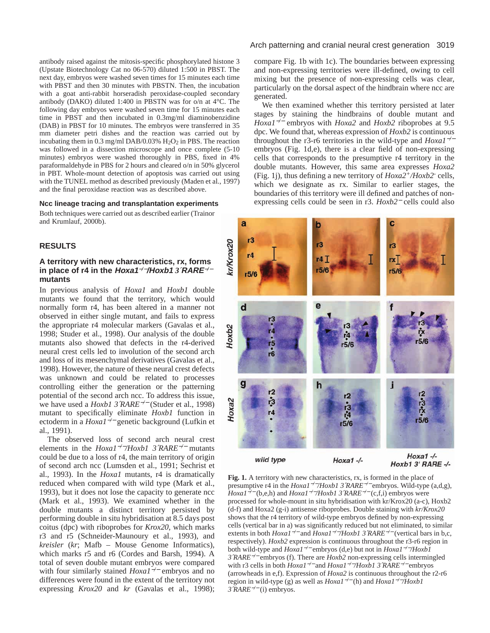antibody raised against the mitosis-specific phosphorylated histone 3 (Upstate Biotechnology Cat no 06-570) diluted 1:500 in PBST. The next day, embryos were washed seven times for 15 minutes each time with PBST and then 30 minutes with PBSTN. Then, the incubation with a goat anti-rabbit horseradish peroxidase-coupled secondary antibody (DAKO) diluted 1:400 in PBSTN was for o/n at 4°C. The following day embryos were washed seven time for 15 minutes each time in PBST and then incubated in 0.3mg/ml diaminobenzidine (DAB) in PBST for 10 minutes. The embryos were transferred in 35 mm diameter petri dishes and the reaction was carried out by incubating them in  $0.3 \text{ mg/ml}$  DAB/ $0.03\%$  H<sub>2</sub>O<sub>2</sub> in PBS. The reaction was followed in a dissection microscope and once complete (5-10 minutes) embryos were washed thoroughly in PBS, fixed in 4% paraformaldehyde in PBS for 2 hours and cleared o/n in 50% glycerol in PBT. Whole-mount detection of apoptosis was carried out using with the TUNEL method as described previously (Maden et al., 1997) and the final peroxidase reaction was as described above.

#### **Ncc lineage tracing and transplantation experiments**

Both techniques were carried out as described earlier (Trainor and Krumlauf, 2000b).

#### **RESULTS**

## **A territory with new characteristics, rx, forms in place of r4 in the Hoxa1**−*/*−**/Hoxb1** *3*′**RARE**−*/*<sup>−</sup> **mutants**

In previous analysis of *Hoxa1* and *Hoxb1* double mutants we found that the territory, which would normally form r4, has been altered in a manner not observed in either single mutant, and fails to express the appropriate r4 molecular markers (Gavalas et al., 1998; Studer et al., 1998). Our analysis of the double mutants also showed that defects in the r4-derived neural crest cells led to involution of the second arch and loss of its mesenchymal derivatives (Gavalas et al., 1998). However, the nature of these neural crest defects was unknown and could be related to processes controlling either the generation or the patterning potential of the second arch ncc. To address this issue, we have used a *Hoxb1 3*′*RARE*−*/*<sup>−</sup> (Studer et al., 1998) mutant to specifically eliminate *Hoxb1* function in ectoderm in a *Hoxa1*−*/*<sup>−</sup> genetic background (Lufkin et al., 1991).

The observed loss of second arch neural crest elements in the *Hoxa1*−*/*−*/Hoxb1 3*′*RARE*−*/*<sup>−</sup> mutants could be due to a loss of r4, the main territory of origin of second arch ncc (Lumsden et al., 1991; Sechrist et al., 1993). In the *Hoxa1* mutants, r4 is dramatically reduced when compared with wild type (Mark et al., 1993), but it does not lose the capacity to generate ncc (Mark et al., 1993). We examined whether in the double mutants a distinct territory persisted by performing double in situ hybridisation at 8.5 days post coitus (dpc) with riboprobes for *Krox20*, which marks r3 and r5 (Schneider-Maunoury et al., 1993), and *kreisler* (*kr*; Mafb – Mouse Genome Informatics), which marks r5 and r6 (Cordes and Barsh, 1994). A total of seven double mutant embryos were compared with four similarly stained *Hoxa1*−*/*<sup>−</sup> embryos and no differences were found in the extent of the territory not expressing *Krox20* and *kr* (Gavalas et al., 1998);

#### Arch patterning and cranial neural crest generation 3019

compare Fig. 1b with 1c). The boundaries between expressing and non-expressing territories were ill-defined, owing to cell mixing but the presence of non-expressing cells was clear, particularly on the dorsal aspect of the hindbrain where ncc are generated.

We then examined whether this territory persisted at later stages by staining the hindbrains of double mutant and *Hoxa1*−*/*<sup>−</sup> embryos with *Hoxa2* and *Hoxb2* riboprobes at 9.5 dpc. We found that, whereas expression of *Hoxb2* is continuous throughout the r3-r6 territories in the wild-type and *Hoxa1*−*/*<sup>−</sup> embryos (Fig. 1d,e), there is a clear field of non-expressing cells that corresponds to the presumptive r4 territory in the double mutants. However, this same area expresses *Hoxa2* (Fig. 1j), thus defining a new territory of *Hoxa2+/Hoxb2-* cells, which we designate as rx. Similar to earlier stages, the boundaries of this territory were ill defined and patches of nonexpressing cells could be seen in r3. *Hoxb2*<sup>−</sup> cells could also



**Fig. 1.** A territory with new characteristics, rx, is formed in the place of presumptive r4 in the *Hoxa1*−*/*−*/Hoxb1 3*′*RARE*−*/*<sup>−</sup> embryos. Wild-type (a,d,g), *Hoxa1*−*/*<sup>−</sup> (b,e,h) and *Hoxa1*−*/*−*/Hoxb1 3*′*RARE*−*/*<sup>−</sup> (c,f,i) embryos were processed for whole-mount in situ hybridisation with kr/Krox20 (a-c), Hoxb2 (d-f) and Hoxa2 (g-i) antisense riboprobes. Double staining with *kr/Krox20* shows that the r4 territory of wild-type embryos defined by non-expressing cells (vertical bar in a) was significantly reduced but not eliminated, to similar extents in both *Hoxa1*−*/*<sup>−</sup> and *Hoxa1*−*/*−*/Hoxb1 3*′*RARE*−*/*<sup>−</sup> (vertical bars in b,c, respectively). *Hoxb2* expression is continuous throughout the r3-r6 region in both wild-type and *Hoxa1*−*/*<sup>−</sup> embryos (d,e) but not in *Hoxa1*−*/*−*/Hoxb1 3*′*RARE*−*/*<sup>−</sup> embryos (f). There are *Hoxb2* non-expressing cells intermingled with r3 cells in both *Hoxa1*−*/*<sup>−</sup> and *Hoxa1*−*/*−*/Hoxb1 3*′*RARE*−*/*<sup>−</sup> embryos (arrowheads in e,f). Expression of *Hoxa2* is continuous throughout the r2-r6 region in wild-type (g) as well as *Hoxa1*−*/*<sup>−</sup> (h) and *Hoxa1*−*/*−*/Hoxb1 3*′*RARE*−*/*<sup>−</sup> (i) embryos.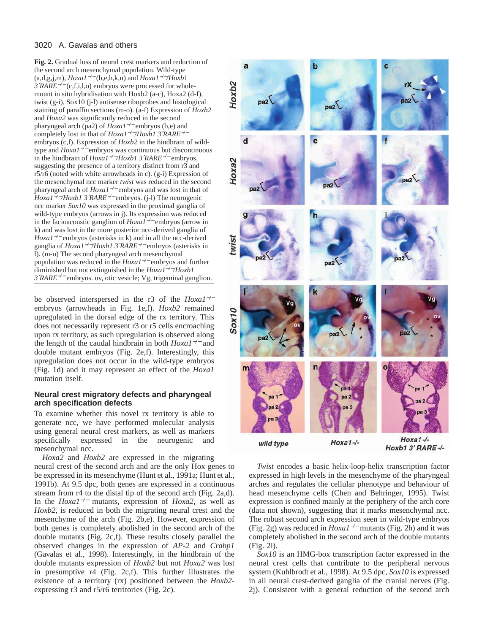## 3020 A. Gavalas and others

**Fig. 2.** Gradual loss of neural crest markers and reduction of the second arch mesenchymal population. Wild-type (a,d,g,j,m), *Hoxa1*−*/*<sup>−</sup> (b,e,h,k,n) and *Hoxa1*−*/*−*/Hoxb*1 *3*′*RARE*−*/*<sup>−</sup> (c,f,i,l,o) embryos were processed for wholemount in situ hybridisation with Hoxb2 (a-c), Hoxa2 (d-f), twist (g-i), Sox10 (j-l) antisense riboprobes and histological staining of paraffin sections (m-o). (a-f) Expression of *Hoxb2* and *Hoxa2* was significantly reduced in the second pharyngeal arch (pa2) of *Hoxa1*−*/*<sup>−</sup> embryos (b,e) and completely lost in that of *Hoxa1*−*/*−*/Hoxb1 3*′*RARE*−*/*<sup>−</sup> embryos (c,f). Expression of *Hoxb2* in the hindbrain of wildtype and *Hoxa1*−*/*<sup>−</sup> embryos was continuous but discontinuous in the hindbrain of *Hoxa1*−*/*−*/Hoxb1 3*′*RARE*−*/*<sup>−</sup> embryos, suggesting the presence of a territory distinct from r3 and r5/r6 (noted with white arrowheads in c). (g-i) Expression of the mesenchymal ncc marker *twist* was reduced in the second pharyngeal arch of *Hoxa1*−*/*<sup>−</sup> embryos and was lost in that of *Hoxa1*−*/*−*/Hoxb1 3*′*RARE*−*/*<sup>−</sup> embryos. (j-l) The neurogenic ncc marker *Sox10* was expressed in the proximal ganglia of wild-type embryos (arrows in j). Its expression was reduced in the facioacoustic ganglion of *Hoxa1*−*/*<sup>−</sup> embryos (arrow in k) and was lost in the more posterior ncc-derived ganglia of *Hoxa1<sup>-/−</sup>* embryos (asterisks in k) and in all the ncc-derived ganglia of *Hoxa1*−*/*−*/Hoxb1 3*′*RARE*−*/*<sup>−</sup> embryos (asterisks in l). (m-o) The second pharyngeal arch mesenchymal population was reduced in the *Hoxa1*−*/*<sup>−</sup> embryos and further diminished but not extinguished in the *Hoxa1*−*/*−*/Hoxb1 3*′*RARE*−*/*<sup>−</sup> embryos. ov, otic vesicle; Vg, trigeminal ganglion.

be observed interspersed in the r3 of the *Hoxa1*−*/*<sup>−</sup> embryos (arrowheads in Fig. 1e,f). *Hoxb2* remained upregulated in the dorsal edge of the rx territory. This does not necessarily represent r3 or r5 cells encroaching upon rx territory, as such upregulation is observed along the length of the caudal hindbrain in both *Hoxa1*−*/*<sup>−</sup> and double mutant embryos (Fig. 2e,f). Interestingly, this upregulation does not occur in the wild-type embryos (Fig. 1d) and it may represent an effect of the *Hoxa1* mutation itself.

#### **Neural crest migratory defects and pharyngeal arch specification defects**

To examine whether this novel rx territory is able to generate ncc, we have performed molecular analysis using general neural crest markers, as well as markers specifically expressed in the neurogenic and mesenchymal ncc.

*Hoxa2* and *Hoxb2* are expressed in the migrating neural crest of the second arch and are the only Hox genes to be expressed in its mesenchyme (Hunt et al., 1991a; Hunt et al., 1991b). At 9.5 dpc, both genes are expressed in a continuous stream from r4 to the distal tip of the second arch (Fig. 2a,d). In the *Hoxa1*−*/*<sup>−</sup> mutants, expression of *Hoxa2*, as well as *Hoxb2*, is reduced in both the migrating neural crest and the mesenchyme of the arch (Fig. 2b,e). However, expression of both genes is completely abolished in the second arch of the double mutants (Fig. 2c,f). These results closely parallel the observed changes in the expression of *AP-2* and *Crabp1* (Gavalas et al., 1998). Interestingly, in the hindbrain of the double mutants expression of *Hoxb2* but not *Hoxa2* was lost in presumptive r4 (Fig. 2c,f). This further illustrates the existence of a territory (rx) positioned between the *Hoxb2* expressing r3 and r5/r6 territories (Fig. 2c).



*Twist* encodes a basic helix-loop-helix transcription factor expressed in high levels in the mesenchyme of the pharyngeal arches and regulates the cellular phenotype and behaviour of head mesenchyme cells (Chen and Behringer, 1995). Twist expression is confined mainly at the periphery of the arch core (data not shown), suggesting that it marks mesenchymal ncc. The robust second arch expression seen in wild-type embryos (Fig. 2g) was reduced in *Hoxa1*−*/*<sup>−</sup> mutants (Fig. 2h) and it was completely abolished in the second arch of the double mutants (Fig. 2i).

*Sox10* is an HMG-box transcription factor expressed in the neural crest cells that contribute to the peripheral nervous system (Kuhlbrodt et al., 1998). At 9.5 dpc, *Sox10* is expressed in all neural crest-derived ganglia of the cranial nerves (Fig. 2j). Consistent with a general reduction of the second arch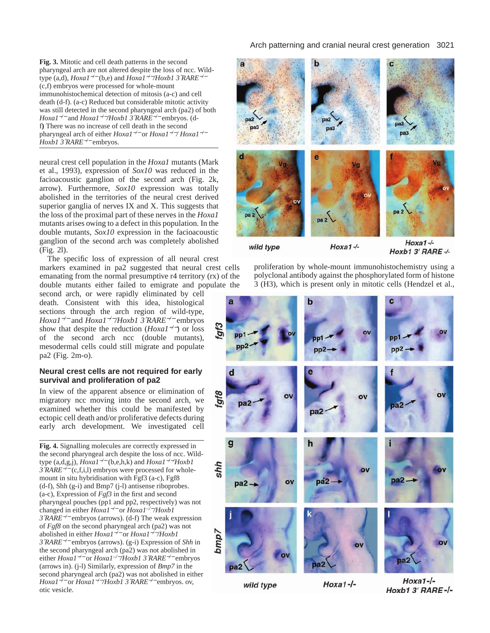**Fig. 3.** Mitotic and cell death patterns in the second pharyngeal arch are not altered despite the loss of ncc. Wildtype (a,d), *Hoxa1*−*/*<sup>−</sup> (b,e) and *Hoxa1*−*/*−*/Hoxb1 3*′*RARE*−*/*<sup>−</sup> (c,f) embryos were processed for whole-mount immunohistochemical detection of mitosis (a-c) and cell death (d-f). (a-c) Reduced but considerable mitotic activity was still detected in the second pharyngeal arch (pa2) of both *Hoxa1*−*/*<sup>−</sup> and *Hoxa1*−*/*−*/Hoxb1 3*′*RARE*−*/*<sup>−</sup> embryos. (df**)** There was no increase of cell death in the second pharyngeal arch of either *Hoxa1*−*/*<sup>−</sup> or *Hoxa1*−*/*−*/ Hoxa1*−*/*<sup>−</sup> *Hoxb1 3*′*RARE*−*/*<sup>−</sup> embryos.

neural crest cell population in the *Hoxa1* mutants (Mark et al., 1993), expression of *Sox10* was reduced in the facioacoustic ganglion of the second arch (Fig. 2k, arrow). Furthermore, *Sox10* expression was totally abolished in the territories of the neural crest derived superior ganglia of nerves IX and X. This suggests that the loss of the proximal part of these nerves in the *Hoxa1* mutants arises owing to a defect in this population. In the double mutants, *Sox10* expression in the facioacoustic ganglion of the second arch was completely abolished (Fig. 2l).

The specific loss of expression of all neural crest markers examined in pa2 suggested that neural crest cells emanating from the normal presumptive r4 territory (rx) of the double mutants either failed to emigrate and populate the

second arch, or were rapidly eliminated by cell death. Consistent with this idea, histological sections through the arch region of wild-type, *Hoxa1*−*/*<sup>−</sup> and *Hoxa1*−*/*−*/Hoxb1 3*′*RARE*−*/*<sup>−</sup> embryos show that despite the reduction (*Hoxa1*−*/*−) or loss of the second arch ncc (double mutants), mesodermal cells could still migrate and populate pa2 (Fig. 2m-o).

#### **Neural crest cells are not required for early survival and proliferation of pa2**

In view of the apparent absence or elimination of migratory ncc moving into the second arch, we examined whether this could be manifested by ectopic cell death and/or proliferative defects during early arch development. We investigated cell

**Fig. 4.** Signalling molecules are correctly expressed in the second pharyngeal arch despite the loss of ncc. Wildtype (a,d,g,j), *Hoxa1*−*/*<sup>−</sup> (b,e,h,k) and *Hoxa1*−*/*−*/ Hoxb1 3*′*RARE*−*/*<sup>−</sup> (c,f,i,l) embryos were processed for wholemount in situ hybridisation with Fgf3 (a-c), Fgf8 (d-f), Shh (g-i) and Bmp7 (j-l) antisense riboprobes. (a-c), Expression of *Fgf3* in the first and second pharyngeal pouches (pp1 and pp2, respectively) was not changed in either *Hoxa1*−*/*<sup>−</sup> or *Hoxa1–/*−*/Hoxb1 3*′*RARE*−*/*<sup>−</sup> embryos (arrows). (d-f) The weak expression of *Fgf8* on the second pharyngeal arch (pa2) was not abolished in either *Hoxa1*−*/*<sup>−</sup> or *Hoxa1*−*/*−*/Hoxb1 3*′*RARE*−*/*<sup>−</sup> embryos (arrows). (g-i) Expression of *Shh* in the second pharyngeal arch (pa2) was not abolished in either *Hoxa1*−*/*<sup>−</sup> or *Hoxa1–/*−*/Hoxb1 3*′*RARE*−*/*<sup>−</sup> embryos (arrows in). (j-l) Similarly, expression of *Bmp7* in the second pharyngeal arch (pa2) was not abolished in either *Hoxa1*−*/*<sup>−</sup> or *Hoxa1*−*/*−*/Hoxb1 3*′*RARE*−*/*<sup>−</sup> embryos. ov, otic vesicle.

# Arch patterning and cranial neural crest generation 3021



wild type

Hoxb1 3' RARE -/-

proliferation by whole-mount immunohistochemistry using a polyclonal antibody against the phosphorylated form of histone 3 (H3), which is present only in mitotic cells (Hendzel et al.,



wild type

 $Hoxa1-I$ -

 $Hoxa1-I Hoxb13'RARE-I-$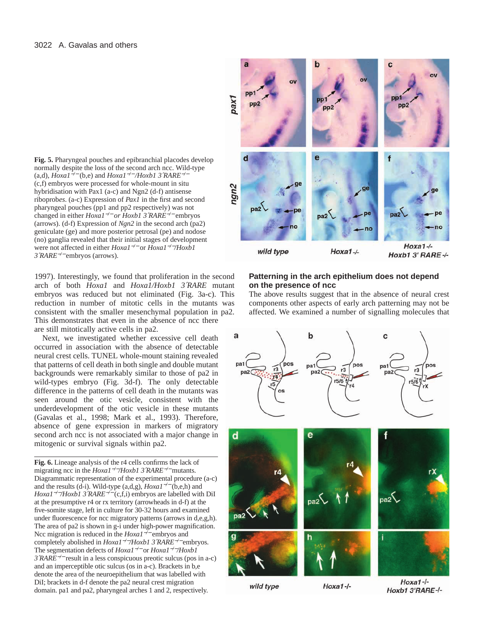**Fig. 5.** Pharyngeal pouches and epibranchial placodes develop normally despite the loss of the second arch ncc. Wild-type (a,d), *Hoxa1*−*/*<sup>−</sup> (b,e) and *Hoxa1*−*/*<sup>−</sup> */Hoxb1 3*′*RARE*−*/*<sup>−</sup> (c,f) embryos were processed for whole-mount in situ hybridisation with Pax1 (a-c) and Ngn2 (d-f) antisense riboprob*es*. (a-c) Expression of *Pax1* in the first and second pharyngeal pouches (pp1 and pp2 respectively) was not changed in either *Hoxa1*−*/*<sup>−</sup> *or Hoxb1 3*′*RARE*−*/*<sup>−</sup> embryos (arrows). (d-f) Expression of *Ngn2* in the second arch (pa2) geniculate (ge) and more posterior petrosal (pe) and nodose (no) ganglia revealed that their initial stages of development were not affected in either *Hoxa1*−*/*<sup>−</sup> or *Hoxa1*−*/*−*/Hoxb1 3*′*RARE*−*/*<sup>−</sup> embryos (arrows).

1997). Interestingly, we found that proliferation in the second arch of both *Hoxa1* and *Hoxa1/Hoxb1 3*′*RARE* mutant embryos was reduced but not eliminated (Fig. 3a-c). This reduction in number of mitotic cells in the mutants was consistent with the smaller mesenchymal population in pa2. This demonstrates that even in the absence of ncc there are still mitotically active cells in pa2.

Next, we investigated whether excessive cell death occurred in association with the absence of detectable neural crest cells. TUNEL whole-mount staining revealed that patterns of cell death in both single and double mutant backgrounds were remarkably similar to those of pa2 in wild-types embryo (Fig. 3d-f). The only detectable difference in the patterns of cell death in the mutants was seen around the otic vesicle, consistent with the underdevelopment of the otic vesicle in these mutants (Gavalas et al., 1998; Mark et al., 1993). Therefore, absence of gene expression in markers of migratory second arch ncc is not associated with a major change in mitogenic or survival signals within pa2.

**Fig. 6.** Lineage analysis of the r4 cells confirms the lack of migrating ncc in the *Hoxa1*−*/*−*/Hoxb1 3*′*RARE*−*/*<sup>−</sup> mutants. Diagrammatic representation of the experimental procedure (a-c) and the results (d-i). Wild-type (a,d,g), *Hoxa1*−*/*<sup>−</sup> (b,e,h) and *Hoxa1*−*/*−*/Hoxb1 3*′*RARE*−*/*<sup>−</sup> (c,f,i) embryos are labelled with DiI at the presumptive r4 or rx territory (arrowheads in d-f) at the five-somite stage, left in culture for 30-32 hours and examined under fluorescence for ncc migratory patterns (arrows in d,e,g,h). The area of pa2 is shown in g-i under high-power magnification. Ncc migration is reduced in the *Hoxa1*−*/*<sup>−</sup> embryos and completely abolished in *Hoxa1*−*/*−*/Hoxb1 3*′*RARE*−*/*<sup>−</sup> embryos. The segmentation defects of *Hoxa1*−*/*<sup>−</sup> or *Hoxa1*−*/*−*/Hoxb1 3*′*RARE*−*/*<sup>−</sup> result in a less conspicuous preotic sulcus (pos in a-c) and an imperceptible otic sulcus (os in a-c). Brackets in b,e denote the area of the neuroepithelium that was labelled with DiI; brackets in d-f denote the pa2 neural crest migration domain. pa1 and pa2, pharyngeal arches 1 and 2, respectively.



## **Patterning in the arch epithelium does not depend on the presence of ncc**

The above results suggest that in the absence of neural crest components other aspects of early arch patterning may not be affected. We examined a number of signalling molecules that



 $Hoxa1-I$ -

wild type

 $Hoxa1-I-$ Hoxb1 3'RARE-/-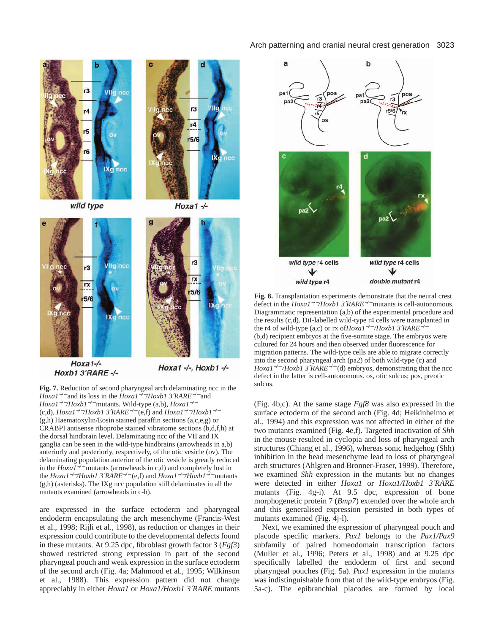#### Arch patterning and cranial neural crest generation 3023



 $Hoxa1-/-$ Hoxb1 3'RARE-/-

Hoxa1 -/-, Hoxb1 -/-

**Fig. 7.** Reduction of second pharyngeal arch delaminating ncc in the *Hoxa1*−*/*<sup>−</sup> and its loss in the *Hoxa1*−*/*−*/Hoxb1 3*′*RARE*−*/*<sup>−</sup> and *Hoxa1*−*/*−*/Hoxb1*−*/*<sup>−</sup> mutants. Wild-type (a,b), *Hoxa1*−*/*<sup>−</sup> (c,d), *Hoxa1*−*/*−*/Hoxb1 3*′*RARE*−*/*<sup>−</sup> (e,f) and *Hoxa1*−*/*−*/Hoxb1*−*/*<sup>−</sup> (g,h) Haematoxylin/Eosin stained paraffin sections (a,c,e,g) or CRABPI antisense riboprobe stained vibratome sections (b,d,f,h) at the dorsal hindbrain level. Delaminating ncc of the VII and IX ganglia can be seen in the wild-type hindbrains (arrowheads in a,b) anteriorly and posteriorly, respectively, of the otic vesicle (ov). The delaminating population anterior of the otic vesicle is greatly reduced in the *Hoxa1*−*/*<sup>−</sup> mutants (arrowheads in c,d) and completely lost in the *Hoxa1*−*/*−*/Hoxb1 3*′*RARE*−*/*<sup>−</sup> (e,f) and *Hoxa1*−*/*−*/Hoxb1*−*/*<sup>−</sup> mutants (g,h) (asterisks). The IXg ncc population still delaminates in all the mutants examined (arrowheads in c-h).

are expressed in the surface ectoderm and pharyngeal endoderm encapsulating the arch mesenchyme (Francis-West et al., 1998; Rijli et al., 1998), as reduction or changes in their expression could contribute to the developmental defects found in these mutants. At 9.25 dpc, fibroblast growth factor 3 (*Fgf3*) showed restricted strong expression in part of the second pharyngeal pouch and weak expression in the surface ectoderm of the second arch (Fig. 4a; Mahmood et al., 1995; Wilkinson et al., 1988). This expression pattern did not change appreciably in either *Hoxa1* or *Hoxa1/Hoxb1 3*′*RARE* mutants



**Fig. 8.** Transplantation experiments demonstrate that the neural crest defect in the *Hoxa1*−*/*−*/Hoxb1 3*′*RARE*−*/*<sup>−</sup> mutants is cell-autonomous. Diagrammatic representation (a,b) of the experimental procedure and the results (c,d). DiI-labelled wild-type r4 cells were transplanted in the r4 of wild-type (a,c) or rx of*Hoxa1*−*/*<sup>−</sup> */Hoxb1 3*′*RARE*−*/*<sup>−</sup> (b,d) recipient embryos at the five-somite stage. The embryos were cultured for 24 hours and then observed under fluorescence for migration patterns. The wild-type cells are able to migrate correctly into the second pharyngeal arch (pa2) of both wild-type (c) and *Hoxa1*−*/*<sup>−</sup> */Hoxb1 3*′*RARE*−*/*<sup>−</sup> (d) embryos, demonstrating that the ncc defect in the latter is cell-autonomous. os, otic sulcus; pos, preotic sulcus.

(Fig. 4b,c). At the same stage *Fgf8* was also expressed in the surface ectoderm of the second arch (Fig. 4d; Heikinheimo et al., 1994) and this expression was not affected in either of the two mutants examined (Fig. 4e,f). Targeted inactivation of *Shh* in the mouse resulted in cyclopia and loss of pharyngeal arch structures (Chiang et al., 1996), whereas sonic hedgehog (Shh) inhibition in the head mesenchyme lead to loss of pharyngeal arch structures (Ahlgren and Bronner-Fraser, 1999). Therefore, we examined *Shh* expression in the mutants but no changes were detected in either *Hoxa1* or *Hoxa1/Hoxb1 3*′*RARE* mutants (Fig. 4g-i). At 9.5 dpc, expression of bone morphogenetic protein 7 (*Bmp7*) extended over the whole arch and this generalised expression persisted in both types of mutants examined (Fig. 4j-l).

Next, we examined the expression of pharyngeal pouch and placode specific markers. *Pax1* belongs to the *Pax1/Pax9* subfamily of paired homeodomain transcription factors (Muller et al., 1996; Peters et al., 1998) and at 9.25 dpc specifically labelled the endoderm of first and second pharyngeal pouches (Fig. 5a). *Pax1* expression in the mutants was indistinguishable from that of the wild-type embryos (Fig. 5a-c). The epibranchial placodes are formed by local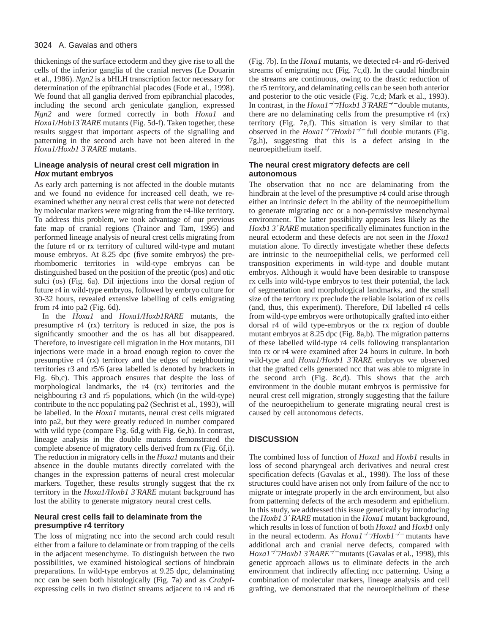## 3024 A. Gavalas and others

thickenings of the surface ectoderm and they give rise to all the cells of the inferior ganglia of the cranial nerves (Le Douarin et al., 1986). *Ngn2* is a bHLH transcription factor necessary for determination of the epibranchial placodes (Fode et al., 1998). We found that all ganglia derived from epibranchial placodes, including the second arch geniculate ganglion, expressed *Ngn2* and were formed correctly in both *Hoxa1* and *Hoxa1/Hob13*′*RARE* mutants (Fig. 5d-f). Taken together, these results suggest that important aspects of the signalling and patterning in the second arch have not been altered in the *Hoxa1/Hoxb1 3*′*RARE* mutants.

# **Lineage analysis of neural crest cell migration in Hox mutant embryos**

As early arch patterning is not affected in the double mutants and we found no evidence for increased cell death, we reexamined whether any neural crest cells that were not detected by molecular markers were migrating from the r4-like territory. To address this problem, we took advantage of our previous fate map of cranial regions (Trainor and Tam, 1995) and performed lineage analysis of neural crest cells migrating from the future r4 or rx territory of cultured wild-type and mutant mouse embryos. At 8.25 dpc (five somite embryos) the prerhombomeric territories in wild-type embryos can be distinguished based on the position of the preotic (pos) and otic sulci (os) (Fig. 6a). DiI injections into the dorsal region of future r4 in wild-type embryos, followed by embryo culture for 30-32 hours, revealed extensive labelling of cells emigrating from r4 into pa2 (Fig. 6d).

In the *Hoxa1* and *Hoxa1/Hoxb1RARE* mutants, the presumptive r4 (rx) territory is reduced in size, the pos is significantly smoother and the os has all but disappeared. Therefore, to investigate cell migration in the Hox mutants, DiI injections were made in a broad enough region to cover the presumptive r4 (rx) territory and the edges of neighbouring territories r3 and r5/6 (area labelled is denoted by brackets in Fig. 6b,c). This approach ensures that despite the loss of morphological landmarks, the r4 (rx) territories and the neighbouring r3 and r5 populations, which (in the wild-type) contribute to the ncc populating pa2 (Sechrist et al., 1993), will be labelled. In the *Hoxa1* mutants, neural crest cells migrated into pa2, but they were greatly reduced in number compared with wild type (compare Fig. 6d,g with Fig. 6e,h). In contrast, lineage analysis in the double mutants demonstrated the complete absence of migratory cells derived from rx (Fig. 6f,i). The reduction in migratory cells in the *Hoxa1* mutants and their absence in the double mutants directly correlated with the changes in the expression patterns of neural crest molecular markers. Together, these results strongly suggest that the rx territory in the *Hoxa1/Hoxb1 3*′*RARE* mutant background has lost the ability to generate migratory neural crest cells.

# **Neural crest cells fail to delaminate from the presumptive r4 territory**

The loss of migrating ncc into the second arch could result either from a failure to delaminate or from trapping of the cells in the adjacent mesenchyme. To distinguish between the two possibilities, we examined histological sections of hindbrain preparations. In wild-type embryos at 9.25 dpc, delaminating ncc can be seen both histologically (Fig. 7a) and as *CrabpI*expressing cells in two distinct streams adjacent to r4 and r6 (Fig. 7b). In the *Hoxa1* mutants, we detected r4- and r6-derived streams of emigrating ncc (Fig. 7c,d). In the caudal hindbrain the streams are continuous, owing to the drastic reduction of the r5 territory, and delaminating cells can be seen both anterior and posterior to the otic vesicle (Fig. 7c,d; Mark et al., 1993). In contrast, in the *Hoxa1*−*/*−*/Hoxb1 3*′*RARE*−*/*<sup>−</sup> double mutants, there are no delaminating cells from the presumptive r4 (rx) territory (Fig. 7e,f). This situation is very similar to that observed in the *Hoxa1*−*/*−*/Hoxb1*−*/*<sup>−</sup> full double mutants (Fig. 7g,h), suggesting that this is a defect arising in the neuroepithelium itself.

# **The neural crest migratory defects are cell autonomous**

The observation that no ncc are delaminating from the hindbrain at the level of the presumptive r4 could arise through either an intrinsic defect in the ability of the neuroepithelium to generate migrating ncc or a non-permissive mesenchymal environment. The latter possibility appears less likely as the *Hoxb1 3*′ *RARE* mutation specifically eliminates function in the neural ectoderm and these defects are not seen in the *Hoxa1* mutation alone. To directly investigate whether these defects are intrinsic to the neuroepithelial cells, we performed cell transposition experiments in wild-type and double mutant embryos. Although it would have been desirable to transpose rx cells into wild-type embryos to test their potential, the lack of segmentation and morphological landmarks, and the small size of the territory rx preclude the reliable isolation of rx cells (and, thus, this experiment). Therefore, DiI labelled r4 cells from wild-type embryos were orthotopically grafted into either dorsal r4 of wild type-embryos or the rx region of double mutant embryos at 8.25 dpc (Fig. 8a,b). The migration patterns of these labelled wild-type r4 cells following transplantation into rx or r4 were examined after 24 hours in culture. In both wild-type and *Hoxa1/Hoxb1 3*′*RARE* embryos we observed that the grafted cells generated ncc that was able to migrate in the second arch (Fig. 8c,d). This shows that the arch environment in the double mutant embryos is permissive for neural crest cell migration, strongly suggesting that the failure of the neuroepithelium to generate migrating neural crest is caused by cell autonomous defects.

# **DISCUSSION**

The combined loss of function of *Hoxa1* and *Hoxb1* results in loss of second pharyngeal arch derivatives and neural crest specification defects (Gavalas et al., 1998). The loss of these structures could have arisen not only from failure of the ncc to migrate or integrate properly in the arch environment, but also from patterning defects of the arch mesoderm and epithelium. In this study, we addressed this issue genetically by introducing the *Hoxb1 3*′ *RARE* mutation in the *Hoxa1* mutant background, which results in loss of function of both *Hoxa1* and *Hoxb1* only in the neural ectoderm. As *Hoxa1*−*/*−*/Hoxb1*−*/*<sup>−</sup> mutants have additional arch and cranial nerve defects, compared with *Hoxa1*−*/*−*/Hoxb1 3*′*RARE*−*/*<sup>−</sup> mutants (Gavalas et al., 1998), this genetic approach allows us to eliminate defects in the arch environment that indirectly affecting ncc patterning. Using a combination of molecular markers, lineage analysis and cell grafting, we demonstrated that the neuroepithelium of these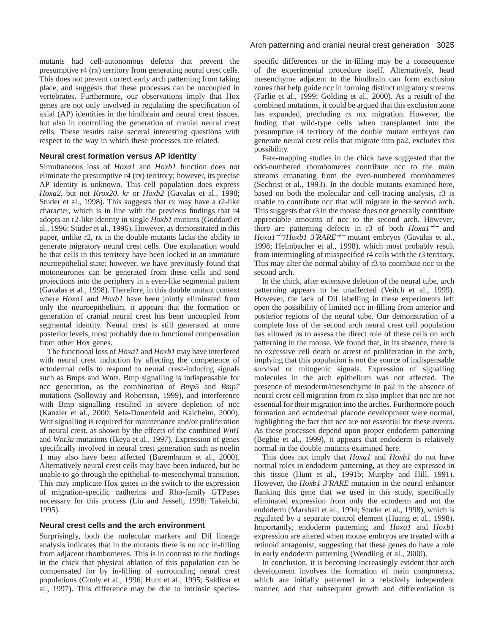mutants had cell-autonomous defects that prevent the presumptive r4 (rx) territory from generating neural crest cells. This does not prevent correct early arch patterning from taking place, and suggests that these processes can be uncoupled in vertebrates. Furthermore, our observations imply that Hox genes are not only involved in regulating the specification of axial (AP) identities in the hindbrain and neural crest tissues, but also in controlling the generation of cranial neural crest cells. These results raise seceral interesting questions with respect to the way in which these processes are related.

#### **Neural crest formation versus AP identity**

Simultaneous loss of *Hoxa1* and *Hoxb1* function does not eliminate the presumptive r4 (rx) territory; however, its precise AP identity is unknown. This cell population does express *Hoxa2,* but not *Krox20*, *kr* or *Hoxb2* (Gavalas et al., 1998; Studer et al., 1998). This suggests that rx may have a r2-like character, which is in line with the previous findings that r4 adopts an r2-like identity in single *Hoxb1* mutants (Goddard et al., 1996; Studer et al., 1996). However, as demonstrated in this paper, unlike r2, rx in the double mutants lacks the ability to generate migratory neural crest cells. One explanation would be that cells in this territory have been locked in an immature neuroepithelial state; however, we have previously found that motoneurones can be generated from these cells and send projections into the periphery in a even-like segmental pattern (Gavalas et al., 1998). Therefore, in this double mutant context where *Hoxa1* and *Hoxb1* have been jointly eliminated from only the neuroepithelium, it appears that the formation or generation of cranial neural crest has been uncoupled from segmental identity. Neural crest is still generated at more posterior levels, most probably due to functional compensation from other Hox genes.

The functional loss of *Hoxa1* and *Hoxb1* may have interfered with neural crest induction by affecting the competence of ectodermal cells to respond to neural crest-inducing signals such as Bmps and Wnts. Bmp signalling is indispensable for ncc generation, as the combination of *Bmp5* and *Bmp7* mutations (Solloway and Robertson, 1999), and interference with Bmp signalling resulted in severe depletion of ncc (Kanzler et al., 2000; Sela-Donenfeld and Kalcheim, 2000). Wnt signalling is required for maintenance and/or proliferation of neural crest, as shown by the effects of the combined *Wnt1* and *Wnt3a* mutations (Ikeya et al., 1997). Expression of genes specifically involved in neural crest generation such as noelin 1 may also have been affected (Barembaum et al., 2000). Alternatively neural crest cells may have been induced, but be unable to go through the epithelial-to-mesenchymal transition. This may implicate Hox genes in the switch to the expression of migration-specific cadherins and Rho-family GTPases necessary for this process (Liu and Jessell, 1998; Takeichi, 1995).

#### **Neural crest cells and the arch environment**

Surprisingly, both the molecular markers and DiI lineage analysis indicates that in the mutants there is no ncc in-filling from adjacent rhombomeres. This is in contrast to the findings in the chick that physical ablation of this population can be compensated for by in-filling of surrounding neural crest populations (Couly et al., 1996; Hunt et al., 1995; Saldivar et al., 1997). This difference may be due to intrinsic species-

#### Arch patterning and cranial neural crest generation 3025

specific differences or the in-filling may be a consequence of the experimental procedure itself. Alternatively, head mesenchyme adjacent to the hindbrain can form exclusion zones that help guide ncc in forming distinct migratory streams (Farlie et al., 1999; Golding et al., 2000). As a result of the combined mutations, it could be argued that this exclusion zone has expanded, precluding rx ncc migration. However, the finding that wild-type cells when transplanted into the presumptive r4 territory of the double mutant embryos can generate neural crest cells that migrate into pa2, excludes this possibility.

Fate-mapping studies in the chick have suggested that the odd-numbered rhombomeres contribute ncc to the main streams emanating from the even-numbered rhombomeres (Sechrist et al., 1993). In the double mutants examined here, based on both the molecular and cell-tracing analysis, r3 is unable to contribute ncc that will migrate in the second arch. This suggests that r3 in the mouse does not generally contribute appreciable amounts of ncc to the second arch. However, there are patterning defects in r3 of both *Hoxa1*−*/*<sup>−</sup> and *Hoxa1*−*/*−*/Hoxb1 3*′*RARE*−*/*<sup>−</sup> mutant embryos (Gavalas et al., 1998; Helmbacher et al., 1998), which most probably result from intermingling of misspecified r4 cells with the r3 territory. This may alter the normal ability of r3 to contribute ncc to the second arch.

In the chick, after extensive deletion of the neural tube, arch patterning appears to be unaffected (Veitch et al., 1999). However, the lack of DiI labelling in these experiments left open the possibility of limited ncc in-filling from anterior and posterior regions of the neural tube. Our demonstration of a complete loss of the second arch neural crest cell population has allowed us to assess the direct role of these cells on arch patterning in the mouse. We found that, in its absence, there is no excessive cell death or arrest of proliferation in the arch, implying that this population is not the source of indispensable survival or mitogenic signals. Expression of signalling molecules in the arch epithelium was not affected. The presence of mesoderm/mesenchyme in pa2 in the absence of neural crest cell migration from rx also implies that ncc are not essential for their migration into the arches. Furthermore pouch formation and ectodermal placode development were normal, highlighting the fact that ncc are not essential for these events. As these processes depend upon proper endoderm patterning (Begbie et al., 1999), it appears that endoderm is relatively normal in the double mutants examined here.

This does not imply that *Hoxa1* and *Hoxb1* do not have normal roles in endoderm patterning, as they are expressed in this tissue (Hunt et al., 1991b; Murphy and Hill, 1991). However, the *Hoxb1 3*′*RARE* mutation in the neural enhancer flanking this gene that we used in this study, specifically eliminated expression from only the ectoderm and not the endoderm (Marshall et al., 1994; Studer et al., 1998), which is regulated by a separate control element (Huang et al., 1998). Importantly, endoderm patterning and *Hoxa1* and *Hoxb1* expression are altered when mouse embryos are treated with a retinoid antagonist, suggesting that these genes do have a role in early endoderm patterning (Wendling et al., 2000).

In conclusion, it is becoming increasingly evident that arch development involves the formation of main components, which are initially patterned in a relatively independent manner, and that subsequent growth and differentiation is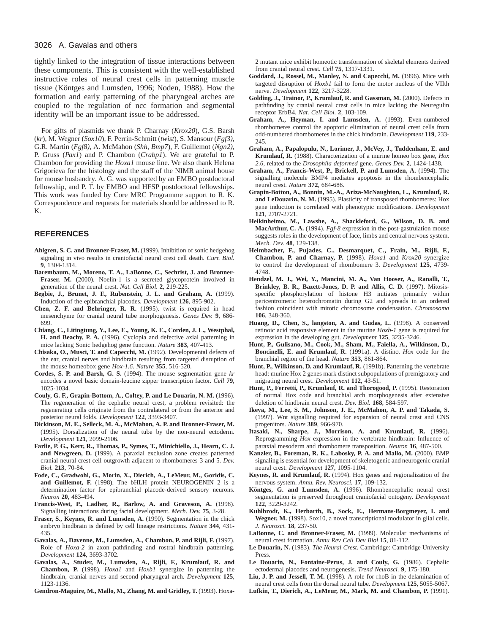#### 3026 A. Gavalas and others

tightly linked to the integration of tissue interactions between these components. This is consistent with the well-established instructive roles of neural crest cells in patterning muscle tissue (Köntges and Lumsden, 1996; Noden, 1988). How the formation and early patterning of the pharyngeal arches are coupled to the regulation of ncc formation and segmental identity will be an important issue to be addressed.

For gifts of plasmids we thank P. Charnay (*Krox20*), G.S. Barsh (*kr*), M. Wegner (*Sox10*), F. Perrin-Schmitt (*twist*), S. Mansour (*Fgf3)*, G.R. Martin (*Fgf8)*, A. McMahon (*Shh*, *Bmp7*), F. Guillemot (*Ngn2)*, P. Gruss (*Pax1*) and P. Chambon (*Crabp1*). We are grateful to P. Chambon for providing the *Hoxa1* mouse line. We also thank Helena Grigorieva for the histology and the staff of the NIMR animal house for mouse husbandry. A. G. was supported by an EMBO postdoctoral fellowship, and P. T. by EMBO and HFSP postdoctoral fellowships. This work was funded by Core MRC Programme support to R. K. Correspondence and requests for materials should be addressed to R. K.

## **REFERENCES**

- **Ahlgren, S. C. and Bronner-Fraser, M.** (1999). Inhibition of sonic hedgehog signaling in vivo results in craniofacial neural crest cell death. *Curr. Biol.* **9**, 1304-1314.
- **Barembaum, M., Moreno, T. A., LaBonne, C., Sechrist, J. and Bronner-**Fraser, M. (2000). Noelin-1 is a secreted glycoprotein involved in generation of the neural crest. *Nat. Cell Biol.* **2**, 219-225.
- **Begbie, J., Brunet, J. F., Rubenstein, J. L. and Graham, A.** (1999). Induction of the epibranchial placodes. *Development* **126**, 895-902.
- **Chen, Z. F. and Behringer, R. R.** (1995). twist is required in head mesenchyme for cranial neural tube morphogenesis. *Genes Dev.* **9**, 686- 699.
- **Chiang, C., Litingtung, Y., Lee, E., Young, K. E., Corden, J. L., Westphal, H. and Beachy, P. A.** (1996). Cyclopia and defective axial patterning in mice lacking Sonic hedgehog gene function. *Nature* **383**, 407-413.
- **Chisaka, O., Musci, T. and Capecchi, M.** (1992). Developmental defects of the ear, cranial nerves and hindbrain resulting from targeted disruption of the mouse homeobox gene *Hox-1.6*. *Nature* **355**, 516-520.
- **Cordes, S. P. and Barsh, G. S.** (1994). The mouse segmentation gene *kr* encodes a novel basic domain-leucine zipper transcription factor. *Cell* **79**, 1025-1034.
- **Couly, G. F., Grapin-Bottom, A., Coltey, P. and Le Douarin, N. M.** (1996). The regeneration of the cephalic neural crest, a problem revisited: the regenerating cells originate from the contralateral or from the anterior and posterior neural folds. *Development* **122**, 3393-3407.
- **Dickinson, M. E., Selleck, M. A., McMahon, A. P. and Bronner-Fraser, M.** (1995). Dorsalization of the neural tube by the non-neural ectoderm. *Development* **121**, 2099-2106.
- **Farlie, P. G., Kerr, R., Thomas, P., Symes, T., Minichiello, J., Hearn, C. J. and Newgreen, D.** (1999). A paraxial exclusion zone creates patterned cranial neural crest cell outgrowth adjacent to rhombomeres 3 and 5. *Dev. Biol.* **213**, 70-84.
- **Fode, C., Gradwohl, G., Morin, X., Dierich, A., LeMeur, M., Goridis, C. and Guillemot, F.** (1998). The bHLH protein NEUROGENIN 2 is a determination factor for epibranchial placode-derived sensory neurons. *Neuron* **20**, 483-494.
- **Francis-West, P., Ladher, R., Barlow, A. and Graveson, A.** (1998). Signalling interactions during facial development. *Mech. Dev.* **75**, 3-28.
- **Fraser, S., Keynes, R. and Lumsden, A.** (1990). Segmentation in the chick embryo hindbrain is defined by cell lineage restrictions. *Nature* **344**, 431- 435.
- **Gavalas, A., Davenne, M., Lumsden, A., Chambon, P. and Rijli, F.** (1997). Role of *Hoxa-2* in axon pathfinding and rostral hindbrain patterning. *Development* **124**, 3693-3702.
- **Gavalas, A., Studer, M., Lumsden, A., Rijli, F., Krumlauf, R. and Chambon, P.** (1998). *Hoxa1* and *Hoxb1* synergize in patterning the hindbrain, cranial nerves and second pharyngeal arch. *Development* **125**, 1123-1136.
- **Gendron-Maguire, M., Mallo, M., Zhang, M. and Gridley, T.** (1993). Hoxa-

2 mutant mice exhibit homeotic transformation of skeletal elements derived from cranial neural crest. *Cell* **75**, 1317-1331.

- **Goddard, J., Rossel, M., Manley, N. and Capecchi, M.** (1996). Mice with targeted disruption of *Hoxb1* fail to form the motor nucleus of the VIIth nerve. *Development* **122**, 3217-3228.
- **Golding, J., Trainor, P., Krumlauf, R. and Gassman, M.** (2000). Defects in pathfinding by cranial neural crest cells in mice lacking the Neuregulin receptor ErbB4. *Nat. Cell Biol.* **2**, 103-109.
- **Graham, A., Heyman, I. and Lumsden, A.** (1993). Even-numbered rhombomeres control the apoptotic elimination of neural crest cells from odd-numbered rhombomeres in the chick hindbrain. *Development* **119**, 233- 245.
- **Graham, A., Papalopulu, N., Lorimer, J., McVey, J., Tuddenham, E. and Krumlauf, R.** (1988). Characterization of a murine homeo box gene, *Hox 2.6*, related to the *Drosophila deformed* gene. *Genes Dev.* **2**, 1424-1438.
- **Graham, A., Francis-West, P., Brickell, P. and Lumsden, A.** (1994). The signalling molecule BMP4 mediates apoptosis in the rhombencephalic neural crest. *Nature* **372**, 684-686.
- **Grapin-Botton, A., Bonnin, M.-A., Ariza-McNaughton, L., Krumlauf, R. and LeDouarin, N. M.** (1995). Plasticity of transposed rhombomeres: Hox gene induction is correlated with phenotypic modifications. *Development* **121**, 2707-2721.
- **Heikinheimo, M., Lawshe, A., Shackleford, G., Wilson, D. B. and MacArthur, C. A.** (1994). *Fgf-8* expression in the post-gastrulation mouse suggests roles in the development of face, limbs and central nervous system. *Mech. Dev.* **48**, 129-138.
- **Helmbacher, F., Pujades, C., Desmarquet, C., Frain, M., Rijli, F., Chambon, P. and Charnay, P.** (1998). *Hoxa1* and *Krox20* synergize to control the development of rhombomere 3. *Development* **125**, 4739- 4748.
- **Hendzel, M. J., Wei, Y., Mancini, M. A., Van Hooser, A., Ranalli, T., Brinkley, B. R., Bazett-Jones, D. P. and Allis, C. D.** (1997). Mitosisspecific phosphorylation of histone H3 initiates primarily within pericentromeric heterochromatin during G2 and spreads in an ordered fashion coincident with mitotic chromosome condensation. *Chromosoma* **106**, 348-360.
- **Huang, D., Chen, S., langston, A. and Gudas, L.** (1998). A conserved retinoic acid responsive element in the murine *Hoxb-1* gene is required for expression in the developing gut. *Development* **125**, 3235-3246.
- **Hunt, P., Gulisano, M., Cook, M., Sham, M., Faiella, A., Wilkinson, D., Boncinelli, E. and Krumlauf, R.** (1991a). A distinct *Hox* code for the branchial region of the head. *Nature* **353**, 861-864.
- **Hunt, P., Wilkinson, D. and Krumlauf, R.** (1991b). Patterning the vertebrate head: murine Hox 2 genes mark distinct subpopulations of premigratory and migrating neural crest. *Development* **112**, 43-51.
- **Hunt, P., Ferretti, P., Krumlauf, R. and Thorogood, P.** (1995). Restoration of normal Hox code and branchial arch morphogenesis after extensive deletion of hindbrain neural crest. *Dev. Biol.* **168**, 584-597.
- **Ikeya, M., Lee, S. M., Johnson, J. E., McMahon, A. P. and Takada, S.** (1997). Wnt signalling required for expansion of neural crest and CNS progenitors. *Nature* **389**, 966-970.
- **Itasaki, N., Sharpe, J., Morrison, A. and Krumlauf, R.** (1996). Reprogramming *Hox* expression in the vertebrate hindbrain: Influence of paraxial mesoderm and rhombomere transposition. *Neuron* **16**, 487-500.
- **Kanzler, B., Foreman, R. K., Labosky, P. A. and Mallo, M.** (2000). BMP signaling is essential for development of skeletogenic and neurogenic cranial neural crest. *Development* **127**, 1095-1104.
- **Keynes, R. and Krumlauf, R.** (1994). Hox genes and regionalization of the nervous system. *Annu. Rev. Neurosci.* **17**, 109-132.
- **Köntges, G. and Lumsden, A.** (1996). Rhombencephalic neural crest segmentation is preserved throughout craniofacial ontogeny. *Development* **122**, 3229-3242.
- **Kuhlbrodt, K., Herbarth, B., Sock, E., Hermans-Borgmeyer, I. and Wegner, M.** (1998). Sox10, a novel transcriptional modulator in glial cells. *J. Neurosci.* **18**, 237-50.
- **LaBonne, C. and Bronner-Fraser, M.** (1999). Molecular mechanisms of neural crest formation. *Annu Rev Cell Dev Biol* **15**, 81-112.
- **Le Douarin, N.** (1983). *The Neural Crest*. Cambridge: Cambridge University Press.
- **Le Douarin, N., Fontaine-Perus, J. and Couly, G.** (1986). Cephalic ectodermal placodes and neurogenesis. *Trend Neurosci.* **9**, 175-180.
- **Liu, J. P. and Jessell, T. M.** (1998). A role for rhoB in the delamination of neural crest cells from the dorsal neural tube. *Development* **125**, 5055-5067.
- **Lufkin, T., Dierich, A., LeMeur, M., Mark, M. and Chambon, P.** (1991).